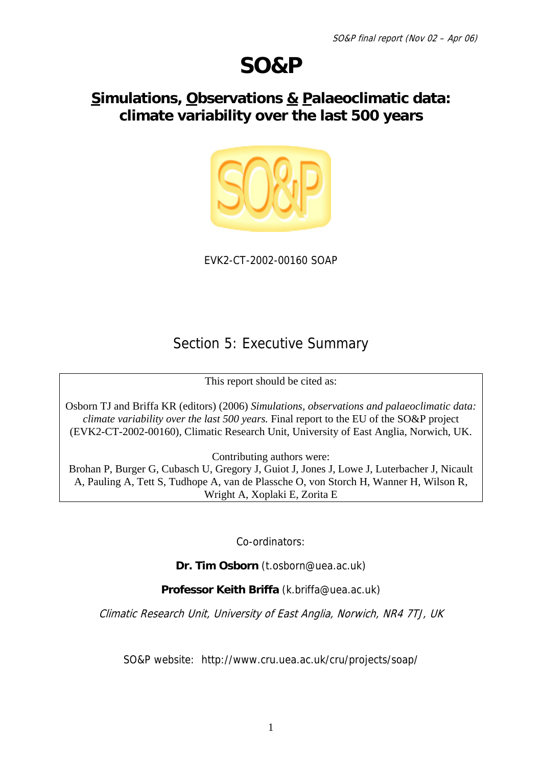# **SO&P**

### **Simulations, Observations & Palaeoclimatic data: climate variability over the last 500 years**



EVK2-CT-2002-00160 SOAP

## Section 5: Executive Summary

This report should be cited as:

Osborn TJ and Briffa KR (editors) (2006) *Simulations, observations and palaeoclimatic data: climate variability over the last 500 years.* Final report to the EU of the SO&P project (EVK2-CT-2002-00160), Climatic Research Unit, University of East Anglia, Norwich, UK.

Contributing authors were:

Brohan P, Burger G, Cubasch U, Gregory J, Guiot J, Jones J, Lowe J, Luterbacher J, Nicault A, Pauling A, Tett S, Tudhope A, van de Plassche O, von Storch H, Wanner H, Wilson R, Wright A, Xoplaki E, Zorita E

Co-ordinators:

**Dr. Tim Osborn** (t.osborn@uea.ac.uk)

### **Professor Keith Briffa** (k.briffa@uea.ac.uk)

Climatic Research Unit, University of East Anglia, Norwich, NR4 7TJ, UK

SO&P website: http://www.cru.uea.ac.uk/cru/projects/soap/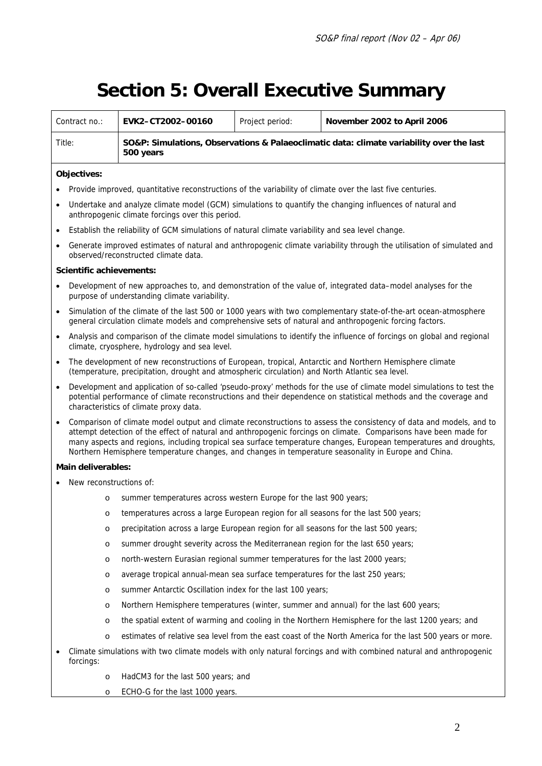## **Section 5: Overall Executive Summary**

| Contract no.: | <b>EVK2-CT2002-00160</b>                                                                              | Project period: | November 2002 to April 2006 |
|---------------|-------------------------------------------------------------------------------------------------------|-----------------|-----------------------------|
| Title:        | SO&P: Simulations, Observations & Palaeoclimatic data: climate variability over the last<br>500 years |                 |                             |

#### **Objectives:**

- Provide improved, quantitative reconstructions of the variability of climate over the last five centuries.
- Undertake and analyze climate model (GCM) simulations to quantify the changing influences of natural and anthropogenic climate forcings over this period.
- Establish the reliability of GCM simulations of natural climate variability and sea level change.
- Generate improved estimates of natural and anthropogenic climate variability through the utilisation of simulated and observed/reconstructed climate data.

#### **Scientific achievements:**

- Development of new approaches to, and demonstration of the value of, integrated data–model analyses for the purpose of understanding climate variability.
- Simulation of the climate of the last 500 or 1000 years with two complementary state-of-the-art ocean-atmosphere general circulation climate models and comprehensive sets of natural and anthropogenic forcing factors.
- Analysis and comparison of the climate model simulations to identify the influence of forcings on global and regional climate, cryosphere, hydrology and sea level.
- The development of new reconstructions of European, tropical, Antarctic and Northern Hemisphere climate (temperature, precipitation, drought and atmospheric circulation) and North Atlantic sea level.
- Development and application of so-called 'pseudo-proxy' methods for the use of climate model simulations to test the potential performance of climate reconstructions and their dependence on statistical methods and the coverage and characteristics of climate proxy data.
- Comparison of climate model output and climate reconstructions to assess the consistency of data and models, and to attempt detection of the effect of natural and anthropogenic forcings on climate. Comparisons have been made for many aspects and regions, including tropical sea surface temperature changes, European temperatures and droughts, Northern Hemisphere temperature changes, and changes in temperature seasonality in Europe and China.

#### **Main deliverables:**

- New reconstructions of:
	- o summer temperatures across western Europe for the last 900 years;
	- o temperatures across a large European region for all seasons for the last 500 years;
	- o precipitation across a large European region for all seasons for the last 500 years;
	- o summer drought severity across the Mediterranean region for the last 650 years;
	- o north-western Eurasian regional summer temperatures for the last 2000 years;
	- o average tropical annual-mean sea surface temperatures for the last 250 years;
	- o summer Antarctic Oscillation index for the last 100 years;
	- o Northern Hemisphere temperatures (winter, summer and annual) for the last 600 years;
	- o the spatial extent of warming and cooling in the Northern Hemisphere for the last 1200 years; and
	- o estimates of relative sea level from the east coast of the North America for the last 500 years or more.
- Climate simulations with two climate models with only natural forcings and with combined natural and anthropogenic forcings:
	- o HadCM3 for the last 500 years; and
	- o ECHO-G for the last 1000 years.